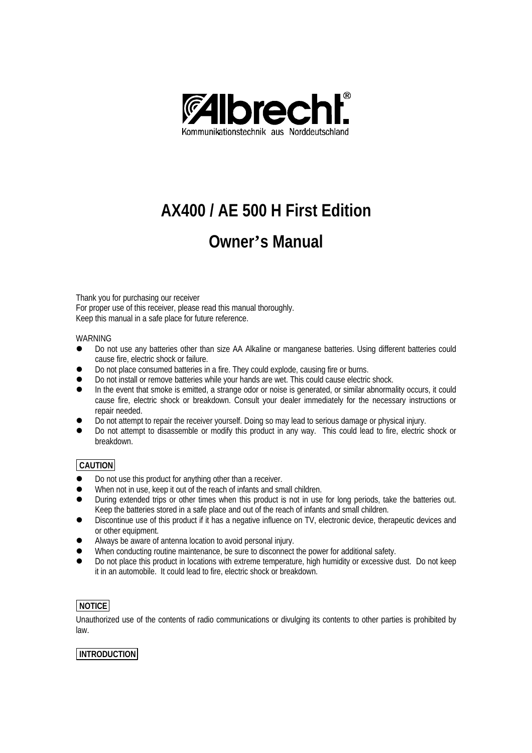

# **AX400 / AE 500 H First Edition**

## **Owner's Manual**

Thank you for purchasing our receiver For proper use of this receiver, please read this manual thoroughly. Keep this manual in a safe place for future reference.

#### WARNING

- l Do not use any batteries other than size AA Alkaline or manganese batteries. Using different batteries could cause fire, electric shock or failure.
- Do not place consumed batteries in a fire. They could explode, causing fire or burns.
- Do not install or remove batteries while your hands are wet. This could cause electric shock.
- In the event that smoke is emitted, a strange odor or noise is generated, or similar abnormality occurs, it could cause fire, electric shock or breakdown. Consult your dealer immediately for the necessary instructions or repair needed.
- Do not attempt to repair the receiver yourself. Doing so may lead to serious damage or physical injury.
- Do not attempt to disassemble or modify this product in any way. This could lead to fire, electric shock or breakdown.

## **CAUTION**

- Do not use this product for anything other than a receiver.
- When not in use, keep it out of the reach of infants and small children.
- l During extended trips or other times when this product is not in use for long periods, take the batteries out. Keep the batteries stored in a safe place and out of the reach of infants and small children.
- l Discontinue use of this product if it has a negative influence on TV, electronic device, therapeutic devices and or other equipment.
- l Always be aware of antenna location to avoid personal injury.
- When conducting routine maintenance, be sure to disconnect the power for additional safety.
- l Do not place this product in locations with extreme temperature, high humidity or excessive dust. Do not keep it in an automobile. It could lead to fire, electric shock or breakdown.

## **NOTICE**

Unauthorized use of the contents of radio communications or divulging its contents to other parties is prohibited by law.

## **INTRODUCTION**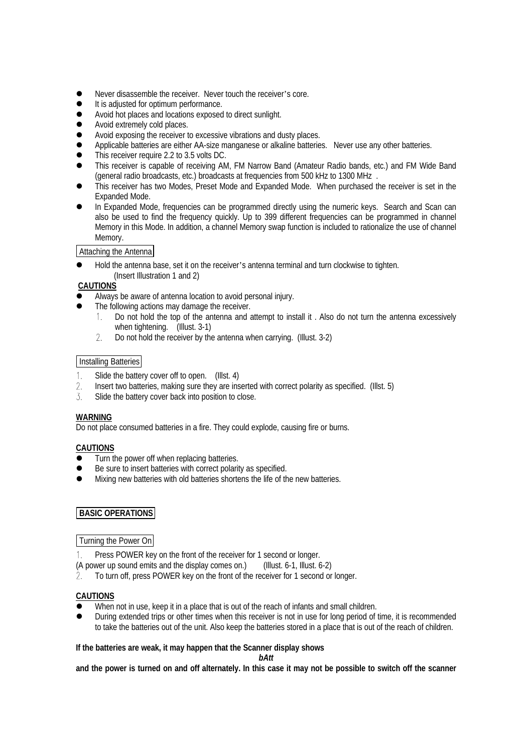- Never disassemble the receiver. Never touch the receiver's core.
- It is adjusted for optimum performance.
- Avoid hot places and locations exposed to direct sunlight.
- Avoid extremely cold places.
- Avoid exposing the receiver to excessive vibrations and dusty places.
- Applicable batteries are either AA-size manganese or alkaline batteries. Never use any other batteries.
- $\bullet$  This receiver require 2.2 to 3.5 volts DC.
- This receiver is capable of receiving AM, FM Narrow Band (Amateur Radio bands, etc.) and FM Wide Band (general radio broadcasts, etc.) broadcasts at frequencies from 500 kHz to 1300 MHz .
- l This receiver has two Modes, Preset Mode and Expanded Mode. When purchased the receiver is set in the Expanded Mode.
- In Expanded Mode, frequencies can be programmed directly using the numeric keys. Search and Scan can also be used to find the frequency quickly. Up to 399 different frequencies can be programmed in channel Memory in this Mode. In addition, a channel Memory swap function is included to rationalize the use of channel Memory.

Attaching the Antenna

l Hold the antenna base, set it on the receiver's antenna terminal and turn clockwise to tighten. (Insert Illustration 1 and 2)

## **CAUTIONS**

- l Always be aware of antenna location to avoid personal injury.
- The following actions may damage the receiver.
	- $1$ . Do not hold the top of the antenna and attempt to install it . Also do not turn the antenna excessively when tightening. (Illust. 3-1)
	- $\overline{2}$ . Do not hold the receiver by the antenna when carrying. (Illust. 3-2)

## Installing Batteries

- $1.$ Slide the battery cover off to open. (Illst. 4)
- $2.$ Insert two batteries, making sure they are inserted with correct polarity as specified. (Illst. 5)
- 3. Slide the battery cover back into position to close.

#### **WARNING**

Do not place consumed batteries in a fire. They could explode, causing fire or burns.

## **CAUTIONS**

- $\bullet$  Turn the power off when replacing batteries.
- $\bullet$  Be sure to insert batteries with correct polarity as specified.
- Mixing new batteries with old batteries shortens the life of the new batteries.

## **BASIC OPERATIONS**

## Turning the Power On

- $\mathbf{1}$ Press POWER key on the front of the receiver for 1 second or longer.
- (A power up sound emits and the display comes on.) (Illust. 6-1, Illust. 6-2)<br>2. To turn off, press POWER key on the front of the receiver for 1 second or
- To turn off, press POWER key on the front of the receiver for 1 second or longer.

## **CAUTIONS**

- When not in use, keep it in a place that is out of the reach of infants and small children.
- l During extended trips or other times when this receiver is not in use for long period of time, it is recommended to take the batteries out of the unit. Also keep the batteries stored in a place that is out of the reach of children.

#### **If the batteries are weak, it may happen that the Scanner display shows**

*bAtt*

**and the power is turned on and off alternately. In this case it may not be possible to switch off the scanner**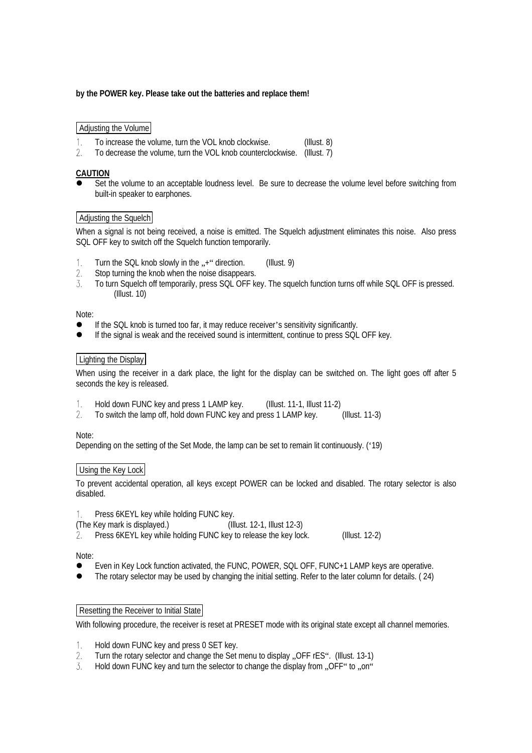## **by the POWER key. Please take out the batteries and replace them!**

## Adjusting the Volume

- $1.$ To increase the volume, turn the VOL knob clockwise. (Illust. 8)
- $2.$ To decrease the volume, turn the VOL knob counterclockwise. (Illust. 7)

## **CAUTION**

Set the volume to an acceptable loudness level. Be sure to decrease the volume level before switching from built-in speaker to earphones.

## Adjusting the Squelch

When a signal is not being received, a noise is emitted. The Squelch adjustment eliminates this noise. Also press SQL OFF Key to switch off the Squelch function temporarily.

- Turn the SQL knob slowly in the  $\cdot$ , +" direction. (Illust. 9)  $\mathbf{1}$
- $2.$ Stop turning the knob when the noise disappears.
- 3. To turn Squelch off temporarily, press SQL OFF key. The squelch function turns off while SQL OFF is pressed. (Illust. 10)

#### Note:

- If the SQL knob is turned too far, it may reduce receiver's sensitivity significantly.
- If the signal is weak and the received sound is intermittent, continue to press SQL OFF key.

#### Lighting the Display

When using the receiver in a dark place, the light for the display can be switched on. The light goes off after 5 seconds the key is released.

- $1<sub>1</sub>$ Hold down FUNC key and press 1 LAMP key. (Illust. 11-1, Illust 11-2)
- $\mathfrak{D}$ . To switch the lamp off, hold down FUNC key and press 1 LAMP key. (Illust. 11-3)

#### Note:

Depending on the setting of the Set Mode, the lamp can be set to remain lit continuously. ('19)

## Using the Key Lock

To prevent accidental operation, all keys except POWER can be locked and disabled. The rotary selector is also disabled.

 $1$ Press 6KEYL key while holding FUNC key.

(The Key mark is displayed.) (Illust. 12-1, Illust 12-3)

 $\mathfrak{D}$ . Press 6KEYL key while holding FUNC key to release the key lock. (Illust. 12-2)

#### Note:

- Even in Key Lock function activated, the FUNC, POWER, SQL OFF, FUNC+1 LAMP keys are operative.
- l The rotary selector may be used by changing the initial setting. Refer to the later column for details. ( 24)

#### Resetting the Receiver to Initial State

With following procedure, the receiver is reset at PRESET mode with its original state except all channel memories.

- $1<sub>1</sub>$ Hold down FUNC key and press 0 SET key.
- $\mathfrak{D}$ . Turn the rotary selector and change the Set menu to display . OFF rES". (Illust. 13-1)
- $\overline{3}$ . Hold down FUNC key and turn the selector to change the display from ..OFF" to ..on"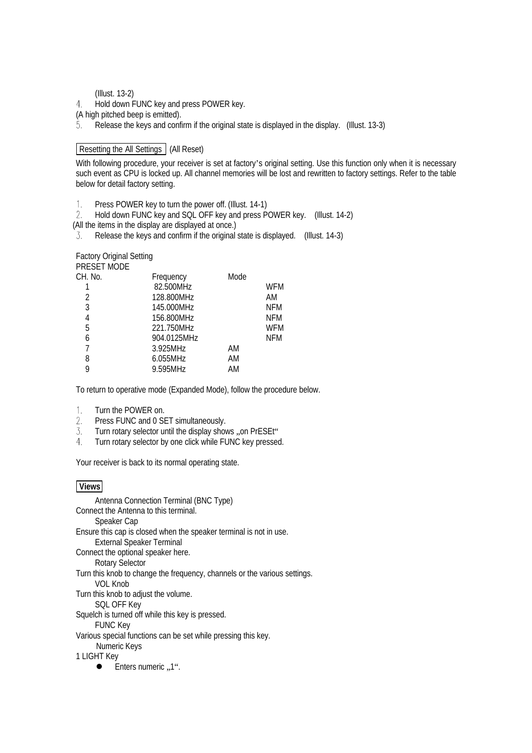#### (Illust. 13-2)

Hold down FUNC key and press POWER key.  $4.$ 

(A high pitched beep is emitted).

 $\overline{5}$ . Release the keys and confirm if the original state is displayed in the display. (Illust. 13-3)

## Resetting the All Settings (All Reset)

With following procedure, your receiver is set at factory's original setting. Use this function only when it is necessary such event as CPU is locked up. All channel memories will be lost and rewritten to factory settings. Refer to the table below for detail factory setting.

Press POWER key to turn the power off. (Illust. 14-1)  $\mathbf{1}$ .

Hold down FUNC key and SQL OFF key and press POWER key. (Illust. 14-2) (All the items in the display are displayed at once.)

Release the keys and confirm if the original state is displayed. (Illust. 14-3)

#### Factory Original Setting PRESET MODE

| PRESET MUDE |             |      |            |
|-------------|-------------|------|------------|
| CH. No.     | Frequency   | Mode |            |
|             | 82.500MHz   |      | <b>WFM</b> |
| 2           | 128.800MHz  |      | AM         |
| 3           | 145.000MHz  |      | <b>NFM</b> |
| 4           | 156.800MHz  |      | <b>NFM</b> |
| 5           | 221.750MHz  |      | WFM        |
| 6           | 904.0125MHz |      | <b>NFM</b> |
| 7           | 3.925MHz    | AM   |            |
| 8           | $6.055$ MHz | AM   |            |
| 9           | 9.595MHz    | AM   |            |
|             |             |      |            |

To return to operative mode (Expanded Mode), follow the procedure below.

- Turn the POWER on.  $1.$
- Press FUNC and 0 SET simultaneously. 2.
- 3. Turn rotary selector until the display shows ..on PrESEt"
- 4. Turn rotary selector by one click while FUNC key pressed.

Your receiver is back to its normal operating state.

## **Views**

Antenna Connection Terminal (BNC Type) Connect the Antenna to this terminal. Speaker Cap Ensure this cap is closed when the speaker terminal is not in use. External Speaker Terminal Connect the optional speaker here. Rotary Selector Turn this knob to change the frequency, channels or the various settings. VOL Knob Turn this knob to adjust the volume. SQL OFF Key Squelch is turned off while this key is pressed. FUNC Key Various special functions can be set while pressing this key. Numeric Keys 1 LIGHT Key  $\bullet$  Enters numeric "1".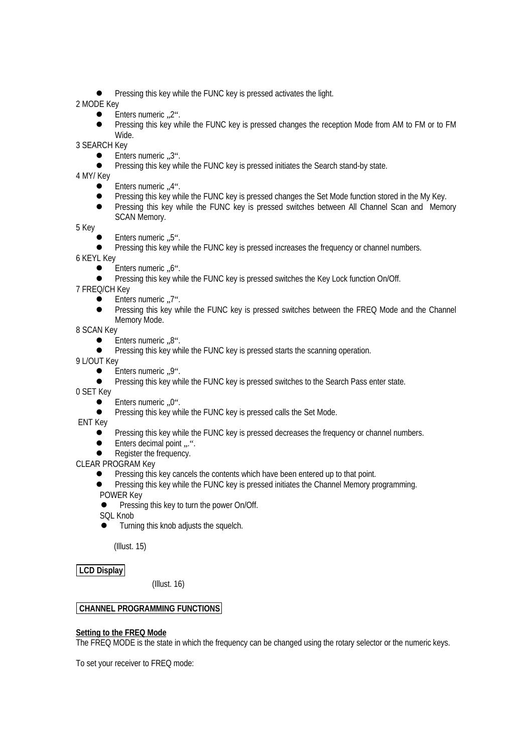l Pressing this key while the FUNC key is pressed activates the light.

## 2 MODE Key

- .2". Enters numeric
- l Pressing this key while the FUNC key is pressed changes the reception Mode from AM to FM or to FM Wide.

3 SEARCH Key

- **Enters numeric ..3".**
- **•** Pressing this key while the FUNC key is pressed initiates the Search stand-by state.

4 MY/ Key

- **Enters numeric ..4".**
- **•** Pressing this key while the FUNC key is pressed changes the Set Mode function stored in the My Key.
- **•** Pressing this key while the FUNC key is pressed switches between All Channel Scan and Memory SCAN Memory.

5 Key

- **Enters numeric ..5".**
- Pressing this key while the FUNC key is pressed increases the frequency or channel numbers.

6 KEYL Key

- .6". Enters numeric
- l Pressing this key while the FUNC key is pressed switches the Key Lock function On/Off.

7 FREQ/CH Key

- .7". Enters numeric
- l Pressing this key while the FUNC key is pressed switches between the FREQ Mode and the Channel Memory Mode.

8 SCAN Key

- $\bullet$  Enters numeric  $.8$ ".
- **•** Pressing this key while the FUNC key is pressed starts the scanning operation.

9 L/OUT Key

- $\bullet$  Enters numeric  $.9$ ".
- **•** Pressing this key while the FUNC key is pressed switches to the Search Pass enter state.

0 SET Key

- .0". Enters numeric
- **•** Pressing this key while the FUNC key is pressed calls the Set Mode.

ENT Key

- Pressing this key while the FUNC key is pressed decreases the frequency or channel numbers.
- Enters decimal point ...".
- Register the frequency.

CLEAR PROGŘAM Key

- Pressing this key cancels the contents which have been entered up to that point.
- Pressing this key while the FUNC key is pressed initiates the Channel Memory programming. POWER Key
- **•** Pressing this key to turn the power On/Off.
- SOL Knob
- Turning this knob adjusts the squelch.

(Illust. 15)

**LCD Display**

(Illust. 16)

## **CHANNEL PROGRAMMING FUNCTIONS**

## **Setting to the FREQ Mode**

The FREQ MODE is the state in which the frequency can be changed using the rotary selector or the numeric keys.

To set your receiver to FREQ mode: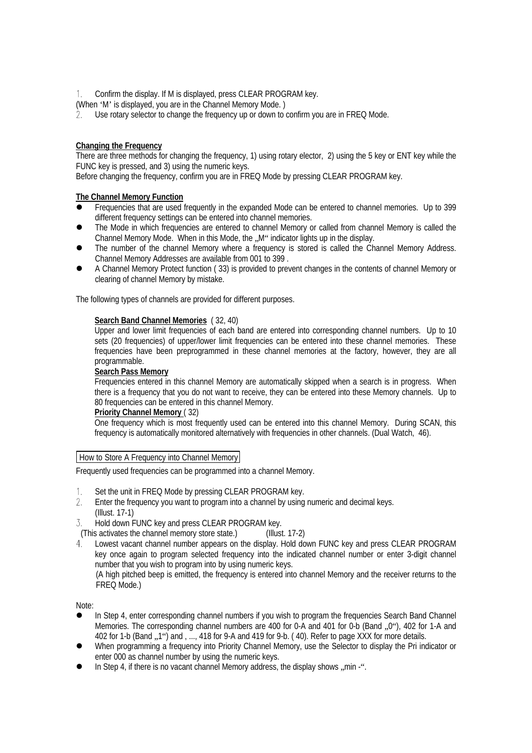Confirm the display. If M is displayed, press CLEAR PROGRAM key.

(When 'M' is displayed, you are in the Channel Memory Mode. )

Use rotary selector to change the frequency up or down to confirm you are in FREQ Mode.

## **Changing the Frequency**

There are three methods for changing the frequency, 1) using rotary elector, 2) using the 5 key or ENT key while the FUNC key is pressed, and 3) using the numeric keys.

Before changing the frequency, confirm you are in FREQ Mode by pressing CLEAR PROGRAM key.

#### **The Channel Memory Function**

- l Frequencies that are used frequently in the expanded Mode can be entered to channel memories. Up to 399 different frequency settings can be entered into channel memories.
- The Mode in which frequencies are entered to channel Memory or called from channel Memory is called the Channel Memory Mode. When in this Mode, the "M" indicator lights up in the display.
- The number of the channel Memory where a frequency is stored is called the Channel Memory Address. Channel Memory Addresses are available from 001 to 399 .
- l A Channel Memory Protect function ( 33) is provided to prevent changes in the contents of channel Memory or clearing of channel Memory by mistake.

The following types of channels are provided for different purposes.

#### **Search Band Channel Memories** ( 32, 40)

Upper and lower limit frequencies of each band are entered into corresponding channel numbers. Up to 10 sets (20 frequencies) of upper/lower limit frequencies can be entered into these channel memories. These frequencies have been preprogrammed in these channel memories at the factory, however, they are all programmable.

#### **Search Pass Memory**

Frequencies entered in this channel Memory are automatically skipped when a search is in progress. When there is a frequency that you do not want to receive, they can be entered into these Memory channels. Up to 80 frequencies can be entered in this channel Memory.

#### **Priority Channel Memory** ( 32)

One frequency which is most frequently used can be entered into this channel Memory. During SCAN, this frequency is automatically monitored alternatively with frequencies in other channels. (Dual Watch, 46).

#### How to Store A Frequency into Channel Memory

Frequently used frequencies can be programmed into a channel Memory.

- Set the unit in FREQ Mode by pressing CLEAR PROGRAM key.  $1.$
- 2. Enter the frequency you want to program into a channel by using numeric and decimal keys. (Illust. 17-1)
- Hold down FUNC key and press CLEAR PROGRAM key. 3.
- (This activates the channel memory store state.) (Illust. 17-2)<br>4. Lowest vacant channel number appears on the display. Hold do
- Lowest vacant channel number appears on the display. Hold down FUNC key and press CLEAR PROGRAM key once again to program selected frequency into the indicated channel number or enter 3-digit channel number that you wish to program into by using numeric keys.

(A high pitched beep is emitted, the frequency is entered into channel Memory and the receiver returns to the FREQ Mode.)

Note:

- In Step 4, enter corresponding channel numbers if you wish to program the frequencies Search Band Channel Memories. The corresponding channel numbers are 400 for 0-A and 401 for 0-b (Band ...,0"), 402 for 1-A and 402 for 1-b (Band , 1") and , ..., 418 for 9-A and 419 for 9-b. (40). Refer to page XXX for more details.
- When programming a frequency into Priority Channel Memory, use the Selector to display the Pri indicator or enter 000 as channel number by using the numeric keys.
- In Step 4, if there is no vacant channel Memory address, the display shows  $\mu$ min -".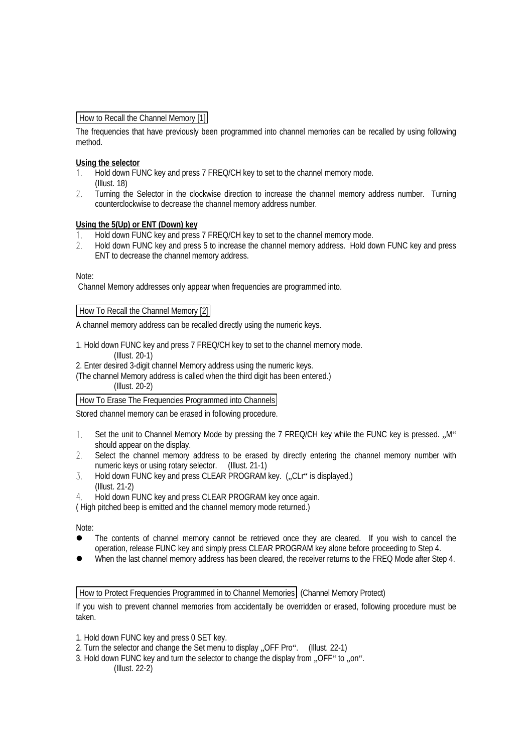## How to Recall the Channel Memory [1]

The frequencies that have previously been programmed into channel memories can be recalled by using following method.

## **Using the selector**

- $1<sup>1</sup>$ Hold down FUNC key and press 7 FREQ/CH key to set to the channel memory mode. (Illust. 18)
- $2<sup>1</sup>$ Turning the Selector in the clockwise direction to increase the channel memory address number. Turning counterclockwise to decrease the channel memory address number.

#### **Using the 5(Up) or ENT (Down) key**

- Hold down FUNC key and press 7 FREQ/CH key to set to the channel memory mode.  $1$
- $2.$ Hold down FUNC key and press 5 to increase the channel memory address. Hold down FUNC key and press ENT to decrease the channel memory address.

Note:

Channel Memory addresses only appear when frequencies are programmed into.

#### How To Recall the Channel Memory [2]

A channel memory address can be recalled directly using the numeric keys.

1. Hold down FUNC key and press 7 FREQ/CH key to set to the channel memory mode.

(Illust. 20-1)

2. Enter desired 3-digit channel Memory address using the numeric keys.

(The channel Memory address is called when the third digit has been entered.) (Illust. 20-2)

## How To Erase The Frequencies Programmed into Channels

Stored channel memory can be erased in following procedure.

- $1<sub>1</sub>$ Set the unit to Channel Memory Mode by pressing the 7 FREQ/CH key while the FUNC key is pressed. "M" should appear on the display.
- $2.$ Select the channel memory address to be erased by directly entering the channel memory number with numeric keys or using rotary selector. (Illust. 21-1)
- $\overline{3}$ Hold down FUNC key and press CLEAR PROGRAM key. ("CLr" is displayed.) (Illust. 21-2)
- Hold down FUNC key and press CLEAR PROGRAM key once again. 4

( High pitched beep is emitted and the channel memory mode returned.)

Note:

- The contents of channel memory cannot be retrieved once they are cleared. If you wish to cancel the operation, release FUNC key and simply press CLEAR PROGRAM key alone before proceeding to Step 4.
- When the last channel memory address has been cleared, the receiver returns to the FREQ Mode after Step 4.

How to Protect Frequencies Programmed in to Channel Memories (Channel Memory Protect)

If you wish to prevent channel memories from accidentally be overridden or erased, following procedure must be taken.

- 1. Hold down FUNC key and press 0 SET key.
- 2. Turn the selector and change the Set menu to display "OFF Pro". (Illust. 22-1)
- 3. Hold down FUNC key and turn the selector to change the display from . OFF" to . on". (Illust. 22-2)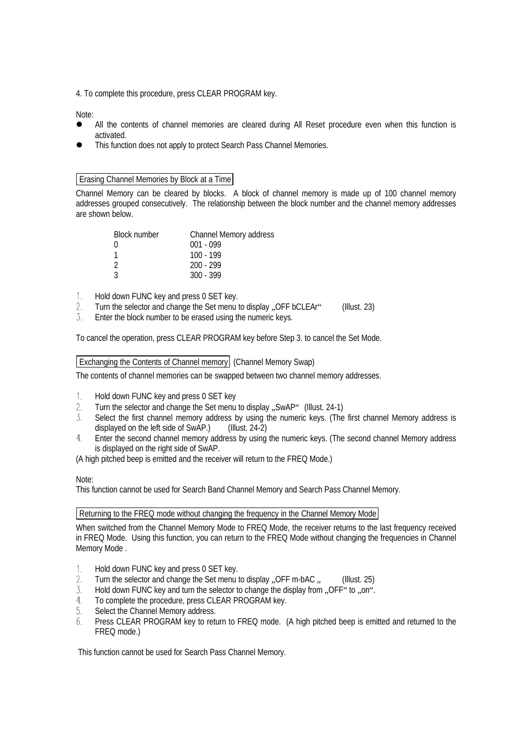4. To complete this procedure, press CLEAR PROGRAM key.

Note:

- All the contents of channel memories are cleared during All Reset procedure even when this function is activated.
- This function does not apply to protect Search Pass Channel Memories.

## Erasing Channel Memories by Block at a Time

Channel Memory can be cleared by blocks. A block of channel memory is made up of 100 channel memory addresses grouped consecutively. The relationship between the block number and the channel memory addresses are shown below.

| Block number  | Channel Memory address |
|---------------|------------------------|
| $\cup$        | $001 - 099$            |
|               | $100 - 199$            |
| $\mathcal{D}$ | $200 - 299$            |
| ર             | $300 - 399$            |

- Hold down FUNC key and press 0 SET key.  $1.$
- Turn the selector and change the Set menu to display ... OFF bCLEAr" (Illust. 23) 2.
- $\overline{3}$ Enter the block number to be erased using the numeric keys.

To cancel the operation, press CLEAR PROGRAM key before Step 3. to cancel the Set Mode.

## Exchanging the Contents of Channel memory (Channel Memory Swap)

The contents of channel memories can be swapped between two channel memory addresses.

- $1<sup>1</sup>$ Hold down FUNC key and press 0 SET key
- Turn the selector and change the Set menu to display ..SwAP" (Illust. 24-1)  $2.$
- Select the first channel memory address by using the numeric keys. (The first channel Memory address is  $\overline{3}$ . displayed on the left side of SwAP.) (Illust. 24-2)
- Enter the second channel memory address by using the numeric keys. (The second channel Memory address is displayed on the right side of SwAP.

(A high pitched beep is emitted and the receiver will return to the FREQ Mode.)

## Note:

This function cannot be used for Search Band Channel Memory and Search Pass Channel Memory.

## Returning to the FREQ mode without changing the frequency in the Channel Memory Mode

When switched from the Channel Memory Mode to FREQ Mode, the receiver returns to the last frequency received in FREQ Mode. Using this function, you can return to the FREQ Mode without changing the frequencies in Channel Memory Mode .

- Hold down FUNC key and press 0 SET key. 1.
- Turn the selector and change the Set menu to display  $.$  OFF m-bAC  $.$  (Illust. 25)  $2.$
- 3. Hold down FUNC key and turn the selector to change the display from ..OFF" to ... on".
- $4.$ To complete the procedure, press CLEAR PROGRAM key.
- $5<sub>1</sub>$ Select the Channel Memory address.
- Press CLEAR PROGRAM key to return to FREQ mode. (A high pitched beep is emitted and returned to the 6. FREQ mode.)

This function cannot be used for Search Pass Channel Memory.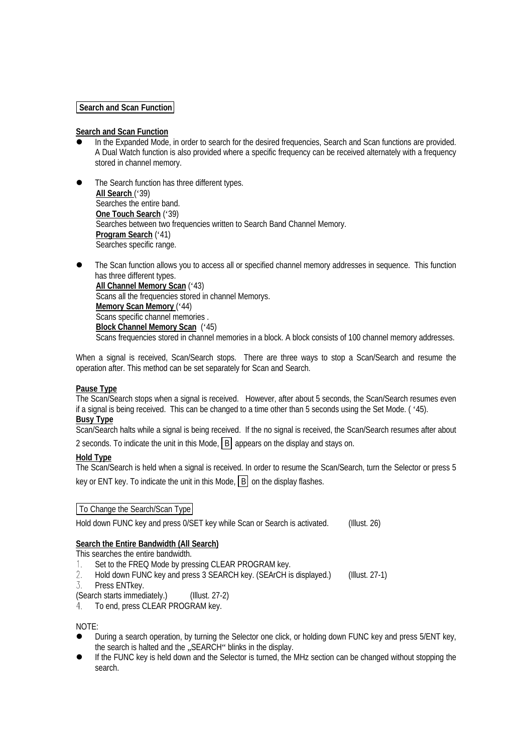## **Search and Scan Function**

## **Search and Scan Function**

- In the Expanded Mode, in order to search for the desired frequencies, Search and Scan functions are provided. A Dual Watch function is also provided where a specific frequency can be received alternately with a frequency stored in channel memory.
- The Search function has three different types. **All Search** ('39) Searches the entire band. **One Touch Search** ('39) Searches between two frequencies written to Search Band Channel Memory. **Program Search** ('41) Searches specific range.
- The Scan function allows you to access all or specified channel memory addresses in sequence. This function has three different types. **All Channel Memory Scan** ('43) Scans all the frequencies stored in channel Memorys. **Memory Scan Memory** ('44) Scans specific channel memories . **Block Channel Memory Scan** ('45) Scans frequencies stored in channel memories in a block. A block consists of 100 channel memory addresses.

When a signal is received, Scan/Search stops. There are three ways to stop a Scan/Search and resume the operation after. This method can be set separately for Scan and Search.

## **Pause Type**

The Scan/Search stops when a signal is received. However, after about 5 seconds, the Scan/Search resumes even if a signal is being received. This can be changed to a time other than 5 seconds using the Set Mode. ( '45). **Busy Type**

Scan/Search halts while a signal is being received. If the no signal is received, the Scan/Search resumes after about

2 seconds. To indicate the unit in this Mode,  $\boxed{B}$  appears on the display and stays on.

#### **Hold Type**

The Scan/Search is held when a signal is received. In order to resume the Scan/Search, turn the Selector or press 5 key or ENT key. To indicate the unit in this Mode,  $\boxed{B}$  on the display flashes.

#### To Change the Search/Scan Type

Hold down FUNC key and press 0/SET key while Scan or Search is activated. (Illust. 26)

## **Search the Entire Bandwidth (All Search)**

This searches the entire bandwidth.

- Set to the FREQ Mode by pressing CLEAR PROGRAM key.  $1<sup>1</sup>$
- $\mathcal{P}$ Hold down FUNC key and press 3 SEARCH key. (SEArCH is displayed.) (Illust. 27-1)
- 3. Press ENTkey.
- (Search starts immediately.) (Illust. 27-2)
- To end, press CLEAR PROGRAM key. 4.

NOTE:

- l During a search operation, by turning the Selector one click, or holding down FUNC key and press 5/ENT key, the search is halted and the ... SEARCH "blinks in the display.
- If the FUNC key is held down and the Selector is turned, the MHz section can be changed without stopping the search.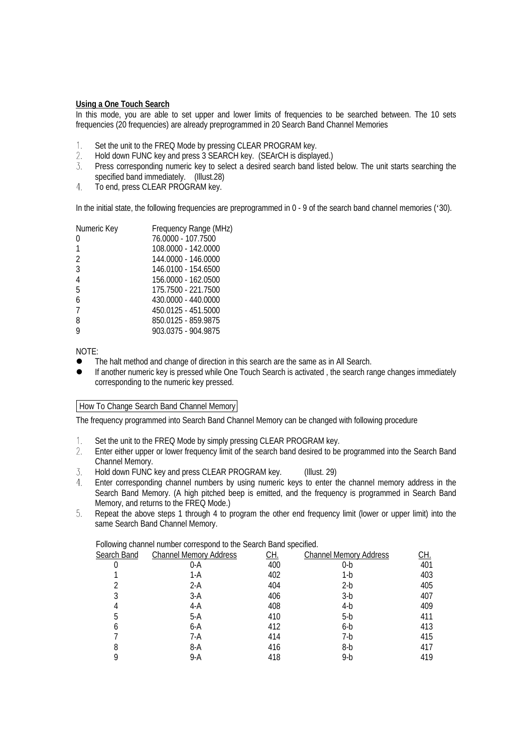#### **Using a One Touch Search**

In this mode, you are able to set upper and lower limits of frequencies to be searched between. The 10 sets frequencies (20 frequencies) are already preprogrammed in 20 Search Band Channel Memories

- $1.$ Set the unit to the FREQ Mode by pressing CLEAR PROGRAM key.
- $2.$ Hold down FUNC key and press 3 SEARCH key. (SEArCH is displayed.)
- $\overline{3}$ Press corresponding numeric key to select a desired search band listed below. The unit starts searching the specified band immediately. (Illust.28)
- $4.$ To end, press CLEAR PROGRAM key.

In the initial state, the following frequencies are preprogrammed in 0 - 9 of the search band channel memories ('30).

| Numeric Key    | Frequency Range (MHz) |
|----------------|-----------------------|
| 0              | 76.0000 - 107.7500    |
| 1              | 108.0000 - 142.0000   |
| 2              | 144,0000 - 146,0000   |
| 3              | 146.0100 - 154.6500   |
| $\overline{4}$ | 156.0000 - 162.0500   |
| 5              | 175.7500 - 221.7500   |
| 6              | 430,0000 - 440,0000   |
| 7              | 450.0125 - 451.5000   |
| 8              | 850.0125 - 859.9875   |
| 9              | 903.0375 - 904.9875   |
|                |                       |

NOTE:

- The halt method and change of direction in this search are the same as in All Search.
- If another numeric key is pressed while One Touch Search is activated, the search range changes immediately corresponding to the numeric key pressed.

## How To Change Search Band Channel Memory

The frequency programmed into Search Band Channel Memory can be changed with following procedure

- $1.$ Set the unit to the FREQ Mode by simply pressing CLEAR PROGRAM key.
- $2.$ Enter either upper or lower frequency limit of the search band desired to be programmed into the Search Band Channel Memory.
- 3. Hold down FUNC key and press CLEAR PROGRAM key. (Illust. 29)
- Enter corresponding channel numbers by using numeric keys to enter the channel memory address in the  $4<sub>1</sub>$ Search Band Memory. (A high pitched beep is emitted, and the frequency is programmed in Search Band Memory, and returns to the FREQ Mode.)
- 5. Repeat the above steps 1 through 4 to program the other end frequency limit (lower or upper limit) into the same Search Band Channel Memory.

Following channel number correspond to the Search Band specified.

| $\cdot$<br>Search Band | <b>Channel Memory Address</b> | CH. | <b>Channel Memory Address</b> | CH. |
|------------------------|-------------------------------|-----|-------------------------------|-----|
|                        | 0-A                           | 400 | $0-b$                         | 401 |
|                        | 1-A                           | 402 | 1-b                           | 403 |
|                        | $2-A$                         | 404 | $2-b$                         | 405 |
| 3                      | $3-A$                         | 406 | $3-b$                         | 407 |
|                        | 4-A                           | 408 | $4-b$                         | 409 |
| 5                      | $5-A$                         | 410 | $5-b$                         | 411 |
| 6                      | 6-A                           | 412 | $6-b$                         | 413 |
|                        | 7-A                           | 414 | 7-b                           | 415 |
| 8                      | 8-A                           | 416 | 8-b                           | 417 |
|                        | 9-A                           | 418 | $9-b$                         | 419 |
|                        |                               |     |                               |     |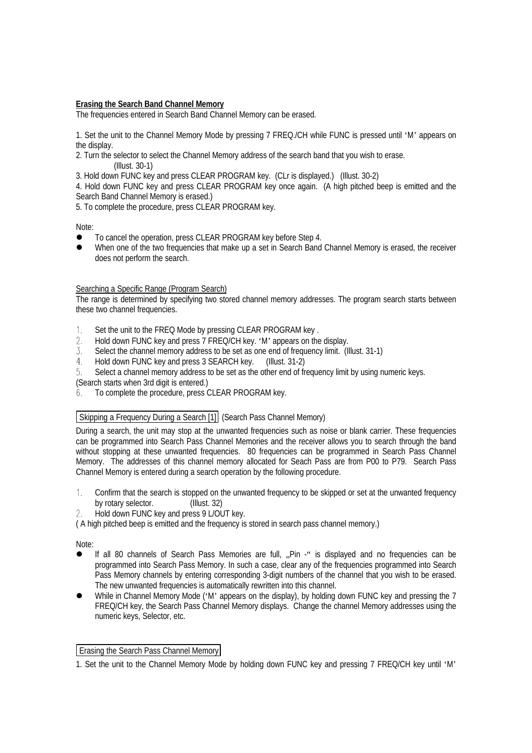## **Erasing the Search Band Channel Memory**

The frequencies entered in Search Band Channel Memory can be erased.

1. Set the unit to the Channel Memory Mode by pressing 7 FREQ./CH while FUNC is pressed until 'M' appears on the display.

2. Turn the selector to select the Channel Memory address of the search band that you wish to erase. (Illust. 30-1)

3. Hold down FUNC key and press CLEAR PROGRAM key. (CLr is displayed.) (Illust. 30-2)

4. Hold down FUNC key and press CLEAR PROGRAM key once again. (A high pitched beep is emitted and the Search Band Channel Memory is erased.)

5. To complete the procedure, press CLEAR PROGRAM key.

Note:

- $\bullet$  To cancel the operation, press CLEAR PROGRAM key before Step 4.
- When one of the two frequencies that make up a set in Search Band Channel Memory is erased, the receiver does not perform the search.

#### Searching a Specific Range (Program Search)

The range is determined by specifying two stored channel memory addresses. The program search starts between these two channel frequencies.

- Set the unit to the FREQ Mode by pressing CLEAR PROGRAM key .  $1_{\cdot}$
- $\overline{2}$ . Hold down FUNC key and press 7 FREQ/CH key. 'M' appears on the display.
- 3. Select the channel memory address to be set as one end of frequency limit. (Illust. 31-1)
- $4<sub>1</sub>$ Hold down FUNC key and press 3 SEARCH key. (Illust. 31-2)
- Select a channel memory address to be set as the other end of frequency limit by using numeric keys.  $5<sub>1</sub>$

(Search starts when 3rd digit is entered.)

To complete the procedure, press CLEAR PROGRAM key. 6.

## Skipping a Frequency During a Search [1] (Search Pass Channel Memory)

During a search, the unit may stop at the unwanted frequencies such as noise or blank carrier. These frequencies can be programmed into Search Pass Channel Memories and the receiver allows you to search through the band without stopping at these unwanted frequencies. 80 frequencies can be programmed in Search Pass Channel Memory. The addresses of this channel memory allocated for Seach Pass are from P00 to P79. Search Pass Channel Memory is entered during a search operation by the following procedure.

- $1<sup>1</sup>$ Confirm that the search is stopped on the unwanted frequency to be skipped or set at the unwanted frequency by rotary selector. (Illust. 32)
- 2. Hold down FUNC key and press 9 L/OUT key.

( A high pitched beep is emitted and the frequency is stored in search pass channel memory.)

Note:

- If all 80 channels of Search Pass Memories are full, "Pin -" is displayed and no frequencies can be programmed into Search Pass Memory. In such a case, clear any of the frequencies programmed into Search Pass Memory channels by entering corresponding 3-digit numbers of the channel that you wish to be erased. The new unwanted frequencies is automatically rewritten into this channel.
- While in Channel Memory Mode ('M' appears on the display), by holding down FUNC key and pressing the 7 FREQ/CH key, the Search Pass Channel Memory displays. Change the channel Memory addresses using the numeric keys, Selector, etc.

#### **Erasing the Search Pass Channel Memory**

<sup>1.</sup> Set the unit to the Channel Memory Mode by holding down FUNC key and pressing 7 FREQ/CH key until 'M'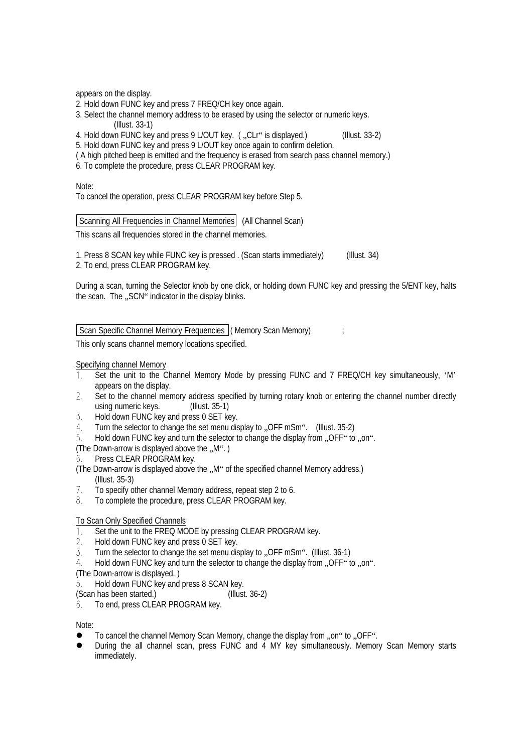appears on the display.

- 2. Hold down FUNC key and press 7 FREQ/CH key once again.
- 3. Select the channel memory address to be erased by using the selector or numeric keys.

(Illust. 33-1)

- 4. Hold down FUNC key and press 9 L/OUT key. (..CLr" is displayed.) (Illust. 33-2)
- 5. Hold down FUNC key and press 9 L/OUT key once again to confirm deletion.
- ( A high pitched beep is emitted and the frequency is erased from search pass channel memory.)
- 6. To complete the procedure, press CLEAR PROGRAM key.

Note:

To cancel the operation, press CLEAR PROGRAM key before Step 5.

Scanning All Frequencies in Channel Memories (All Channel Scan)

This scans all frequencies stored in the channel memories.

1. Press 8 SCAN key while FUNC key is pressed . (Scan starts immediately) (Illust. 34) 2. To end, press CLEAR PROGRAM key.

During a scan, turning the Selector knob by one click, or holding down FUNC key and pressing the 5/ENT key, halts the scan. The ..SCN" indicator in the display blinks.

Scan Specific Channel Memory Frequencies ( Memory Scan Memory) ;

This only scans channel memory locations specified.

Specifying channel Memory

- Set the unit to the Channel Memory Mode by pressing FUNC and 7 FREQ/CH key simultaneously, 'M'  $1.$ appears on the display.
- Set to the channel memory address specified by turning rotary knob or entering the channel number directly  $2.$ using numeric keys. (Illust. 35-1)
- 3. Hold down FUNC key and press 0 SET key.
- Turn the selector to change the set menu display to .. OFF mSm". (Illust. 35-2)  $4 -$
- 5. Hold down FUNC key and turn the selector to change the display from .OFF" to .on".
- (The Down-arrow is displayed above the  $.M$ ".)
- Press CLEAR PROGRAM key. 6.
- (The Down-arrow is displayed above the ..M" of the specified channel Memory address.) (Illust. 35-3)
- $7<sub>1</sub>$ To specify other channel Memory address, repeat step 2 to 6.
- 8. To complete the procedure, press CLEAR PROGRAM key.

#### To Scan Only Specified Channels

- Set the unit to the FREQ MODE by pressing CLEAR PROGRAM key.  $1.$
- $2.$ Hold down FUNC key and press 0 SET key.
- Turn the selector to change the set menu display to .OFF mSm". (Illust. 36-1) 3.
- Hold down FUNC key and turn the selector to change the display from .OFF" to .on".  $4.$
- (The Down-arrow is displayed. )
- Hold down FUNC key and press 8 SCAN key. 5.
- (Scan has been started.) (Illust. 36-2)
- To end, press CLEAR PROGRAM key. 6.

Note:

- To cancel the channel Memory Scan Memory, change the display from ..on" to ..OFF".
- l During the all channel scan, press FUNC and 4 MY key simultaneously. Memory Scan Memory starts immediately.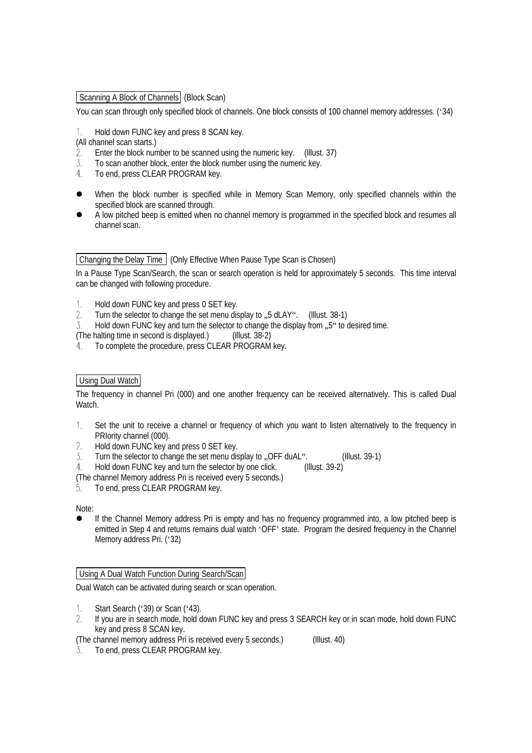Scanning A Block of Channels (Block Scan)

You can scan through only specified block of channels. One block consists of 100 channel memory addresses. ('34)

Hold down FUNC key and press 8 SCAN key.  $1.$ 

(All channel scan starts.)

- Enter the block number to be scanned using the numeric key. (Illust. 37)  $2.$
- $\overline{3}$ . To scan another block, enter the block number using the numeric key.
- $4<sup>1</sup>$ To end, press CLEAR PROGRAM key.
- When the block number is specified while in Memory Scan Memory, only specified channels within the specified block are scanned through.
- l A low pitched beep is emitted when no channel memory is programmed in the specified block and resumes all channel scan.

## Changing the Delay Time (Only Effective When Pause Type Scan is Chosen)

In a Pause Type Scan/Search, the scan or search operation is held for approximately 5 seconds. This time interval can be changed with following procedure.

- $1<sup>1</sup>$ Hold down FUNC key and press 0 SET key.
- $\mathfrak{D}$ . Turn the selector to change the set menu display to .,5 dLAY". (Illust. 38-1)
- Hold down FUNC key and turn the selector to change the display from .,5" to desired time.  $\overline{3}$ .
- (The halting time in second is displayed.) (Illust. 38-2)
- 4. To complete the procedure, press CLEAR PROGRAM key.

## Using Dual Watch

The frequency in channel Pri (000) and one another frequency can be received alternatively. This is called Dual Watch.

- Set the unit to receive a channel or frequency of which you want to listen alternatively to the frequency in  $1.$ PRIority channel (000).
- $2.$ Hold down FUNC key and press 0 SET key.
- 3 Turn the selector to change the set menu display to ... OFF duAL". (Illust. 39-1)
- Hold down FUNC key and turn the selector by one click. (Illust. 39-2)  $\overline{4}$
- (The channel Memory address Pri is received every 5 seconds.)
- To end, press CLEAR PROGRAM key. 5.

Note:

If the Channel Memory address Pri is empty and has no frequency programmed into, a low pitched beep is emitted in Step 4 and returns remains dual watch 'OFF' state. Program the desired frequency in the Channel Memory address Pri. ('32)

## Using A Dual Watch Function During Search/Scan

Dual Watch can be activated during search or scan operation.

- $1_{-}$ Start Search ('39) or Scan ('43).
- If you are in search mode, hold down FUNC key and press 3 SEARCH key or in scan mode, hold down FUNC  $2.$ key and press 8 SCAN key.

(The channel memory address Pri is received every 5 seconds.) (Illust. 40)

To end, press CLEAR PROGRAM key.3.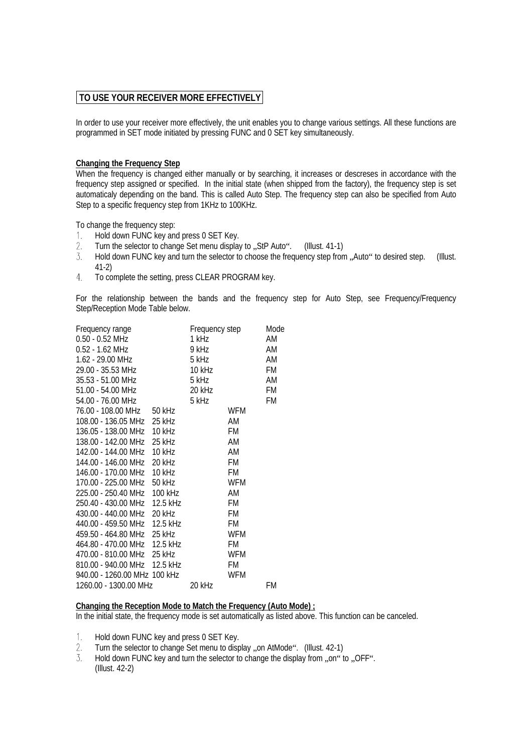## **TO USE YOUR RECEIVER MORE EFFECTIVELY**

In order to use your receiver more effectively, the unit enables you to change various settings. All these functions are programmed in SET mode initiated by pressing FUNC and 0 SET key simultaneously.

## **Changing the Frequency Step**

When the frequency is changed either manually or by searching, it increases or descreses in accordance with the frequency step assigned or specified. In the initial state (when shipped from the factory), the frequency step is set automaticaly depending on the band. This is called Auto Step. The frequency step can also be specified from Auto Step to a specific frequency step from 1KHz to 100KHz.

To change the frequency step:

- Hold down FUNC key and press 0 SET Key.  $1_{\cdot}$
- $\overline{2}$ . Turn the selector to change Set menu display to "StP Auto". (Illust. 41-1)
- $\overline{3}$ . Hold down FUNC key and turn the selector to choose the frequency step from . Auto" to desired step. (Illust. 41-2)
- $4.$ To complete the setting, press CLEAR PROGRAM key.

For the relationship between the bands and the frequency step for Auto Step, see Frequency/Frequency Step/Reception Mode Table below.

| Frequency range                        |                | Frequency step | Mode |
|----------------------------------------|----------------|----------------|------|
| $0.50 - 0.52$ MHz                      | 1 kHz          |                | AM   |
| $0.52 - 1.62$ MHz                      | 1 kHz<br>9 kHz |                | AM   |
| 1.62 - 29.00 MHz                       | 5 kHz          |                | AM   |
| 29.00 - 35.53 MHz                      | 10 kHz         |                | FM   |
| 35.53 - 51.00 MHz                      | 5 kHz          |                | AM   |
|                                        | 20 kHz         |                | FM   |
| 51.00 - 54.00 MHz<br>54.00 - 76.00 MHz | 5 kHz          |                | FM   |
| 76.00 - 108.00 MHz 50 kHz              |                | <b>WFM</b>     |      |
| 108.00 - 136.05 MHz 25 kHz             |                | AM             |      |
| 136.05 - 138.00 MHz 10 kHz             |                | FM             |      |
| 138.00 - 142.00 MHz 25 kHz             |                | AM             |      |
| 142.00 - 144.00 MHz 10 kHz             |                | AM             |      |
| 144.00 - 146.00 MHz 20 kHz             |                | FM             |      |
| 146.00 - 170.00 MHz 10 kHz             |                | FM             |      |
| 170.00 - 225.00 MHz 50 kHz             |                | WFM            |      |
| 225.00 - 250.40 MHz 100 kHz            |                | AM             |      |
| 250.40 - 430.00 MHz 12.5 kHz           |                | FM             |      |
| 430.00 - 440.00 MHz 20 kHz             |                | FM             |      |
| 440.00 - 459.50 MHz 12.5 kHz           |                | FM             |      |
| 459.50 - 464.80 MHz 25 kHz             |                | WFM            |      |
| 464.80 - 470.00 MHz 12.5 kHz           |                | FM             |      |
| 470.00 - 810.00 MHz 25 kHz             |                | <b>WFM</b>     |      |
| 810.00 - 940.00 MHz 12.5 kHz           |                | FM             |      |
| 940.00 - 1260.00 MHz 100 kHz           |                | WFM            |      |
| 1260.00 - 1300.00 MHz                  | 20 kHz         |                | FM   |

#### **Changing the Reception Mode to Match the Frequency (Auto Mode) ;**

In the initial state, the frequency mode is set automatically as listed above. This function can be canceled.

- $1_{\cdot}$ Hold down FUNC key and press 0 SET Key.
- 2. Turn the selector to change Set menu to display ..on AtMode". (Illust. 42-1)
- $\overline{3}$ . Hold down FUNC key and turn the selector to change the display from ..on" to ..OFF". (Illust. 42-2)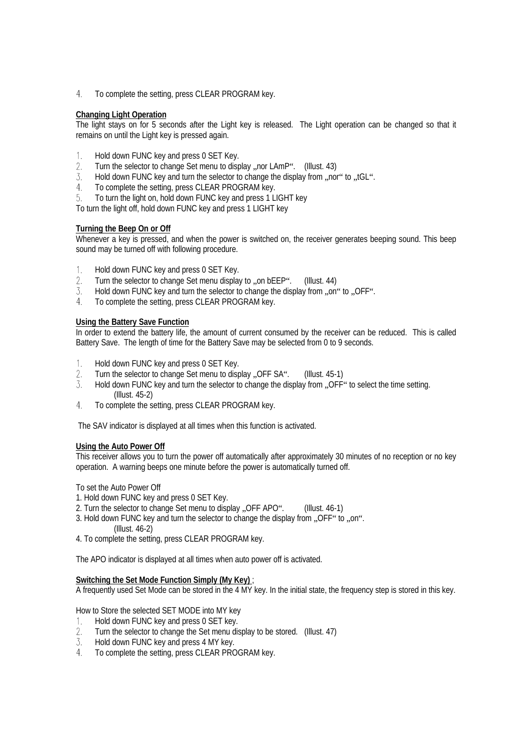4. To complete the setting, press CLEAR PROGRAM key.

## **Changing Light Operation**

The light stays on for 5 seconds after the Light key is released. The Light operation can be changed so that it remains on until the Light key is pressed again.

- Hold down FUNC key and press 0 SET Key.  $1.$
- $2.$ Turn the selector to change Set menu to display "nor LAmP". (Illust. 43)
- $\mathcal{Z}$ . Hold down FUNC key and turn the selector to change the display from ..nor" to ..tGL".
- To complete the setting, press CLEAR PROGRAM key.  $4.$
- 5. To turn the light on, hold down FUNC key and press 1 LIGHT key

To turn the light off, hold down FUNC key and press 1 LIGHT key

#### **Turning the Beep On or Off**

Whenever a key is pressed, and when the power is switched on, the receiver generates beeping sound. This beep sound may be turned off with following procedure.

- Hold down FUNC key and press 0 SET Key.  $1.$
- Turn the selector to change Set menu display to ..on bEEP". (Illust. 44)  $2.$
- 3. Hold down FUNC key and turn the selector to change the display from ..on" to ..OFF".
- To complete the setting, press CLEAR PROGRAM key.  $4<sup>1</sup>$

#### **Using the Battery Save Function**

In order to extend the battery life, the amount of current consumed by the receiver can be reduced. This is called Battery Save. The length of time for the Battery Save may be selected from 0 to 9 seconds.

- Hold down FUNC key and press 0 SET Key.  $\overline{1}$ .
- $2.$ Turn the selector to change Set menu to display ..OFF SA". (Illust. 45-1)
- Hold down FUNC key and turn the selector to change the display from "OFF" to select the time setting. 3. (Illust. 45-2)
- $4.$ To complete the setting, press CLEAR PROGRAM key.

The SAV indicator is displayed at all times when this function is activated.

#### **Using the Auto Power Off**

This receiver allows you to turn the power off automatically after approximately 30 minutes of no reception or no key operation. A warning beeps one minute before the power is automatically turned off.

To set the Auto Power Off

- 1. Hold down FUNC key and press 0 SET Key.
- 2. Turn the selector to change Set menu to display "OFF APO". (Illust. 46-1)
- 3. Hold down FUNC key and turn the selector to change the display from ..OFF" to ... on". (Illust. 46-2)
- 4. To complete the setting, press CLEAR PROGRAM key.

The APO indicator is displayed at all times when auto power off is activated.

#### **Switching the Set Mode Function Simply (My Key)** ;

A frequently used Set Mode can be stored in the 4 MY key. In the initial state, the frequency step is stored in this key.

How to Store the selected SET MODE into MY key

- 1. Hold down FUNC key and press 0 SET key.
- $2.$ Turn the selector to change the Set menu display to be stored. (Illust. 47)
- 3. Hold down FUNC key and press 4 MY key.
- $\overline{4}$ To complete the setting, press CLEAR PROGRAM key.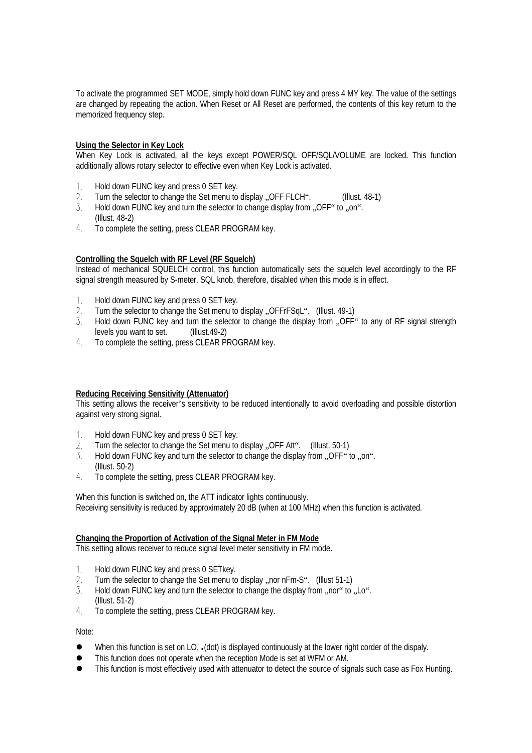To activate the programmed SET MODE, simply hold down FUNC key and press 4 MY key. The value of the settings are changed by repeating the action. When Reset or All Reset are performed, the contents of this key return to the memorized frequency step.

#### **Using the Selector in Key Lock**

When Key Lock is activated, all the keys except POWER/SQL OFF/SQL/VOLUME are locked. This function additionally allows rotary selector to effective even when Key Lock is activated.

- $1$ Hold down FUNC key and press 0 SET key.
- Turn the selector to change the Set menu to display "OFF FLCH". (Illust. 48-1) 2.
- 3. Hold down FUNC key and turn the selector to change display from "OFF" to "on". (Illust. 48-2)
- 4. To complete the setting, press CLEAR PROGRAM key.

#### **Controlling the Squelch with RF Level (RF Squelch)**

Instead of mechanical SQUELCH control, this function automatically sets the squelch level accordingly to the RF signal strength measured by S-meter. SQL knob, therefore, disabled when this mode is in effect.

- Hold down FUNC key and press 0 SET key.  $1<sub>1</sub>$
- Turn the selector to change the Set menu to display ..OFFrFSqL". (Illust. 49-1)  $\overline{2}$ .
- 3 Hold down FUNC key and turn the selector to change the display from "OFF" to any of RF signal strength levels you want to set. (Illust.49-2) levels you want to set.
- $4.$ To complete the setting, press CLEAR PROGRAM key.

#### **Reducing Receiving Sensitivity (Attenuator)**

This setting allows the receiver's sensitivity to be reduced intentionally to avoid overloading and possible distortion against very strong signal.

- $1<sup>1</sup>$ Hold down FUNC key and press 0 SET key.
- $2.$ Turn the selector to change the Set menu to display "OFF Att". (Illust. 50-1)
- $\overline{3}$ . Hold down FUNC key and turn the selector to change the display from .OFF" to .on". (Illust. 50-2)
- $\overline{4}$ To complete the setting, press CLEAR PROGRAM key.

When this function is switched on, the ATT indicator lights continuously. Receiving sensitivity is reduced by approximately 20 dB (when at 100 MHz) when this function is activated.

#### **Changing the Proportion of Activation of the Signal Meter in FM Mode**

This setting allows receiver to reduce signal level meter sensitivity in FM mode.

- Hold down FUNC key and press 0 SETkey.  $1.$
- Turn the selector to change the Set menu to display ..nor nFm-S". (Illust 51-1)  $2.$
- 3. Hold down FUNC key and turn the selector to change the display from ..nor" to ..Lo". (Illust. 51-2)
- $4<sub>1</sub>$ To complete the setting, press CLEAR PROGRAM key.

Note:

- <sup>l</sup> When this function is set on LO, **.**(dot) is displayed continuously at the lower right corder of the dispaly.
- This function does not operate when the reception Mode is set at WFM or AM.
- This function is most effectively used with attenuator to detect the source of signals such case as Fox Hunting.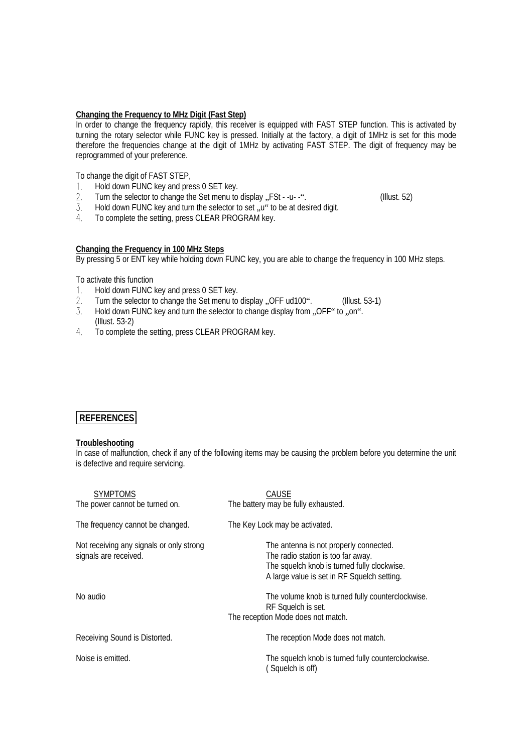#### **Changing the Frequency to MHz Digit (Fast Step)**

In order to change the frequency rapidly, this receiver is equipped with FAST STEP function. This is activated by turning the rotary selector while FUNC key is pressed. Initially at the factory, a digit of 1MHz is set for this mode therefore the frequencies change at the digit of 1MHz by activating FAST STEP. The digit of frequency may be reprogrammed of your preference.

To change the digit of FAST STEP,

- Hold down FUNC key and press 0 SET key.  $1 -$
- Turn the selector to change the Set menu to display "FSt -u- -". (Illust. 52)  $2.$
- 3. Hold down FUNC key and turn the selector to set, u" to be at desired digit.
- $4.$ To complete the setting, press CLEAR PROGRAM key.

#### **Changing the Frequency in 100 MHz Steps**

By pressing 5 or ENT key while holding down FUNC key, you are able to change the frequency in 100 MHz steps.

To activate this function

- 1. Hold down FUNC key and press 0 SET key.
- $\overline{2}$ . Turn the selector to change the Set menu to display .OFF ud100". (Illust. 53-1)
- $\overline{3}$ Hold down FUNC key and turn the selector to change display from ..OFF" to ..on". (Illust. 53-2)
- $4.$ To complete the setting, press CLEAR PROGRAM key.

## **REFERENCES**

#### **Troubleshooting**

In case of malfunction, check if any of the following items may be causing the problem before you determine the unit is defective and require servicing.

| <b>SYMPTOMS</b><br>The power cannot be turned on.                 | CAUSE<br>The battery may be fully exhausted.                                                                                                                               |
|-------------------------------------------------------------------|----------------------------------------------------------------------------------------------------------------------------------------------------------------------------|
| The frequency cannot be changed.                                  | The Key Lock may be activated.                                                                                                                                             |
| Not receiving any signals or only strong<br>signals are received. | The antenna is not properly connected.<br>The radio station is too far away.<br>The squelch knob is turned fully clockwise.<br>A large value is set in RF Squelch setting. |
| No audio                                                          | The volume knob is turned fully counterclockwise.<br>RF Squelch is set.<br>The reception Mode does not match.                                                              |
| Receiving Sound is Distorted.                                     | The reception Mode does not match.                                                                                                                                         |
| Noise is emitted.                                                 | The squelch knob is turned fully counterclockwise.<br>Squelch is off)                                                                                                      |